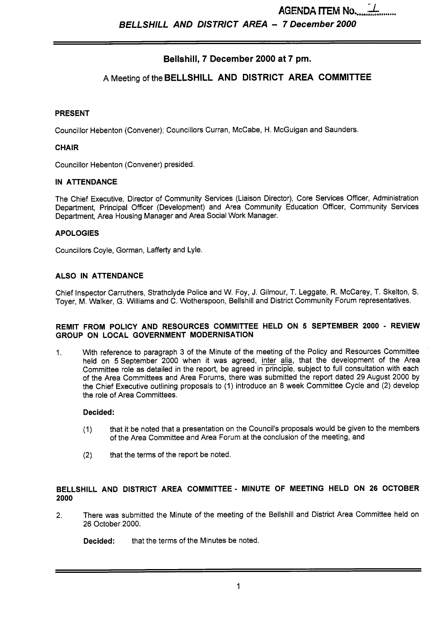*BELLSHILL* **AND DISTRICT AREA** - **7 December 2000** 

# **Bellshill, 7 December 2000 at 7 pm.**

## **A** Meeting of the **BELLSHILL AND DISTRICT AREA COMMITTEE**

#### **PRESENT**

Councillor Hebenton (Convener); Councillors Curran, McCabe, H. McGuigan and Saunders.

#### **CHAIR**

Councillor Hebenton (Convener) presided.

#### **IN ATTENDANCE**

The Chief Executive, Director of Community Services (Liaison Director), Core Services Officer, Administration Department, Principal Officer (Development) and Area Community Education Officer, Community Services Department, Area Housing Manager and Area Social Work Manager.

#### **APOLOGIES**

Councillors Coyle, Gorman, Lafferty and Lyle.

#### **ALSO IN ATTENDANCE**

Chief Inspector Carruthers, Strathclyde Police and W. Foy, J. Gilmour, T. Leggate, R. McCarey, T. Skelton, *S.*  Toyer, M. Walker, G. Williams and C. Wotherspoon, Bellshill and District Community Forum representatives.

#### **REMIT FROM POLICY AND RESOURCES COMMITTEE HELD ON 5 SEPTEMBER 2000** - **REVIEW GROUP ON LOCAL GOVERNMENT MODERNISATION**

1. With reference to paragraph 3 of the Minute of the meeting of the Policy and Resources Committee held on 5 September 2000 when it was agreed, inter alia, that the development of the Area Committee role as detailed in the report, be agreed in principle, subject to full consultation with each of the Area Committees and Area Forums, there was submitted the report dated 29 August 2000 by the Chief Executive outlining proposals to (1) introduce an 8 week Committee Cycle and (2) develop the role of Area Committees.

#### **Decided:**

- (1) that it be noted that a presentation on the Council's proposals would be given to the members of the Area Committee and Area Forum at the conclusion of the meeting, and
- **(2)** that the terms of the report be noted.

## **BELLSHILL AND DISTRICT AREA COMMITTEE- MINUTE OF MEETING HELD ON 26 OCTOBER 2000**

**2.** There was submitted the Minute of the meeting of the Bellshill and District Area Committee held on 26 October 2000.

**Decided:** that the terms of the Minutes be noted.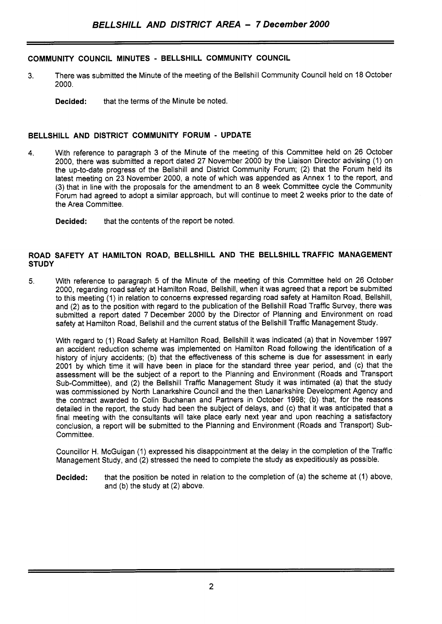### **COMMUNITY COUNCIL MINUTES** - **BELLSHILL COMMUNITY COUNCIL**

- 3. There was submitted the Minute of the meeting of the Bellshill Community Council held on 18 October 2000.
	- **Decided:** that the terms of the Minute be noted.

#### **BELLSHILL AND DISTRICT COMMUNITY FORUM** - **UPDATE**

- **4.** With reference to paragraph 3 of the Minute of the meeting of this Committee held on 26 October 2000, there was submitted a report dated 27 November 2000 by the Liaison Director advising (1) on the up-to-date progress of the Bellshill and District Community Forum; (2) that the Forum held its latest meeting on 23 November 2000, a note of which was appended as Annex 1 to the report, and (3) that in line with the proposals for the amendment to an 8 week Committee cycle the Community Forum had agreed to adopt a similar approach, but will continue to meet 2 weeks prior to the date of the Area Committee.
	- **Decided:** that the contents of the report be noted.

#### **ROAD SAFETY AT HAMILTON ROAD, BELLSHILL AND THE BELLSHILL TRAFFIC MANAGEMENT STUDY**

**5.** With reference to paragraph 5 of the Minute of the meeting of this Committee held on 26 October 2000, regarding road safety at Hamilton Road, Bellshill, when it was agreed that a report be submitted to this meeting (1) in relation to concerns expressed regarding road safety at Hamilton Road, Bellshill, and (2) as to the position with regard to the publication of the Bellshill Road Traffic Survey, there was submitted a report dated 7 December 2000 by the Director of Planning and Environment on road safety at Hamilton Road, Bellshill and the current status of the Bellshill Traffic Management Study.

With regard to (1) Road Safety at Hamilton Road, Bellshill it was indicated (a) that in November 1997 an accident reduction scheme was implemented on Hamilton Road following the identification of a history of injury accidents; (b) that the effectiveness of this scheme is due for assessment in early 2001 by which time it will have been in place for the standard three year period, and (c) that the assessment will be the subject of a report to the Planning and Environment (Roads and Transport Sub-Committee), and (2) the Bellshill Traffic Management Study it was intimated (a) that the study was commissioned by North Lanarkshire Council and the then Lanarkshire Development Agency and the contract awarded to Colin Buchanan and Partners in October 1998; (b) that, for the reasons detailed in the report, the study had been the subject of delays, and (c) that it was anticipated that a final meeting with the consultants will take place early next year and upon reaching a satisfactory conclusion, a report will be submitted to the Planning and Environment (Roads and Transport) Sub-Committee.

Councillor H. McGuigan (1) expressed his disappointment at the delay in the completion of the Traffic Management Study, and (2) stressed the need to complete the study as expeditiously as possible.

**Decided:** that the position be noted in relation to the completion of (a) the scheme at (1) above, and (b) the study at (2) above.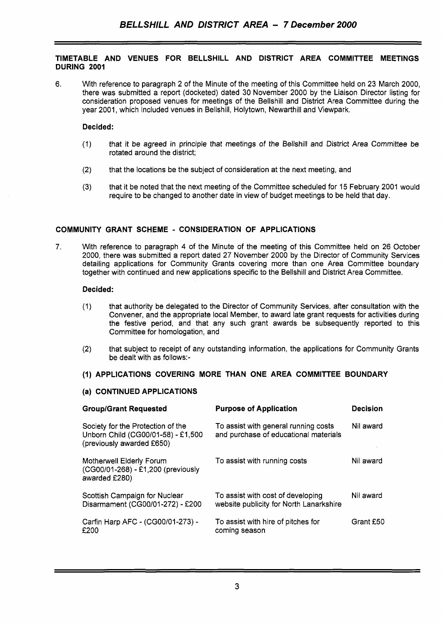#### **TIMETABLE AND VENUES FOR BELLSHILL AND DISTRICT AREA COMMITTEE MEETINGS DURING 2001**

6. With reference to paragraph 2 of the Minute of the meeting of this Committee held on 23 March 2000, there was submitted a report (docketed) dated 30 November 2000 by the Liaison Director listing for consideration proposed venues for meetings of the Bellshill and District Area Committee during the year 2001, which included venues in Bellshill, Holytown, Newarthill and Viewpark.

#### **Decided:**

- (1) that it be agreed in principle that meetings of the Bellshill and District Area Committee be rotated around the district;
- (2) that the locations be the subject of consideration at the next meeting, and
- (3) that it be noted that the next meeting of the Committee scheduled for 15 February 2001 would require to be changed to another date in view of budget meetings to be held that day.

### **COMMUNITY GRANT SCHEME** - **CONSIDERATION OF APPLICATIONS**

7. With reference to paragraph **4** of the Minute of the meeting of this Committee held on 26 October 2000, there was submitted a report dated 27 November 2000 by the Director of Community Services detailing applications for Community Grants covering more than one Area Committee boundary together with continued and new applications specific to the Bellshill and District Area Committee.

#### **Decided:**

- (1) that authority be delegated to the Director of Community Services, after consultation with the Convener, and the appropriate local Member, to award late grant requests for activities during the festive period, and that any such grant awards be subsequently reported to this Committee for homologation, and
- (2) that subject to receipt of any outstanding information, the applications for Community Grants be dealt with as follows:-

## **(1) APPLICATIONS COVERING MORE THAN ONE AREA COMMITTEE BOUNDARY**

#### **(a) CONTINUED APPLICATIONS**

| <b>Group/Grant Requested</b>                                                                         | <b>Purpose of Application</b>                                                 | <b>Decision</b> |
|------------------------------------------------------------------------------------------------------|-------------------------------------------------------------------------------|-----------------|
| Society for the Protection of the<br>Unborn Child (CG00/01-58) - £1,500<br>(previously awarded £650) | To assist with general running costs<br>and purchase of educational materials | Nil award       |
| Motherwell Elderly Forum<br>(CG00/01-268) - £1,200 (previously<br>awarded £280)                      | To assist with running costs                                                  | Nil award       |
| Scottish Campaign for Nuclear<br>Disarmament (CG00/01-272) - £200                                    | To assist with cost of developing<br>website publicity for North Lanarkshire  | Nil award       |
| Carfin Harp AFC - (CG00/01-273) -<br>£200                                                            | To assist with hire of pitches for<br>coming season                           | Grant £50       |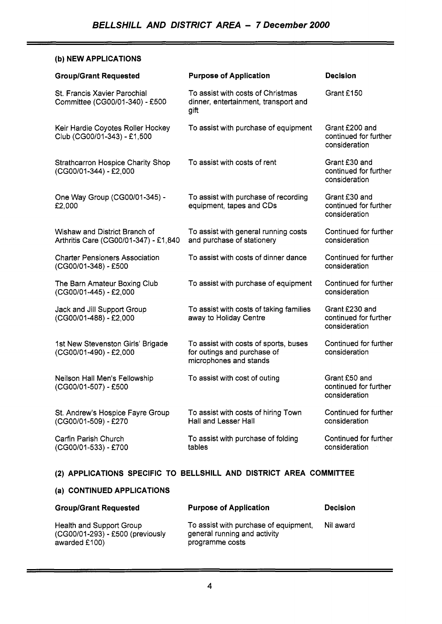## **(b) NEW APPLICATIONS**

| <b>Group/Grant Requested</b>                                           | <b>Purpose of Application</b>                                                                  | <b>Decision</b>                                          |
|------------------------------------------------------------------------|------------------------------------------------------------------------------------------------|----------------------------------------------------------|
| St. Francis Xavier Parochial<br>Committee (CG00/01-340) - £500         | To assist with costs of Christmas<br>dinner, entertainment, transport and<br>gift              | Grant £150                                               |
| Keir Hardie Coyotes Roller Hockey<br>Club (CG00/01-343) - £1,500       | To assist with purchase of equipment                                                           | Grant £200 and<br>continued for further<br>consideration |
| <b>Strathcarron Hospice Charity Shop</b><br>(CG00/01-344) - £2,000     | To assist with costs of rent                                                                   | Grant £30 and<br>continued for further<br>consideration  |
| One Way Group (CG00/01-345) -<br>£2,000                                | To assist with purchase of recording<br>equipment, tapes and CDs                               | Grant £30 and<br>continued for further<br>consideration  |
| Wishaw and District Branch of<br>Arthritis Care (CG00/01-347) - £1,840 | To assist with general running costs<br>and purchase of stationery                             | Continued for further<br>consideration                   |
| <b>Charter Pensioners Association</b><br>(CG00/01-348) - £500          | To assist with costs of dinner dance                                                           | Continued for further<br>consideration                   |
| The Barn Amateur Boxing Club<br>(CG00/01-445) - £2,000                 | To assist with purchase of equipment                                                           | Continued for further<br>consideration                   |
| Jack and Jill Support Group<br>(CG00/01-488) - £2,000                  | To assist with costs of taking families<br>away to Holiday Centre                              | Grant £230 and<br>continued for further<br>consideration |
| 1st New Stevenston Girls' Brigade<br>(CG00/01-490) - £2,000            | To assist with costs of sports, buses<br>for outings and purchase of<br>microphones and stands | Continued for further<br>consideration                   |
| Neilson Hall Men's Fellowship<br>(CG00/01-507) - £500                  | To assist with cost of outing                                                                  | Grant £50 and<br>continued for further<br>consideration  |
| St. Andrew's Hospice Fayre Group<br>(CG00/01-509) - £270               | To assist with costs of hiring Town<br>Hall and Lesser Hall                                    | Continued for further<br>consideration                   |
| Carfin Parish Church<br>(CG00/01-533) - £700                           | To assist with purchase of folding<br>tables                                                   | Continued for further<br>consideration                   |

# **(2) APPLICATIONS SPECIFIC TO BELLSHILL AND DISTRICT AREA COMMITTEE**

# **(a) CONTINUED APPLICATIONS**

| <b>Group/Grant Requested</b>                                                  | <b>Purpose of Application</b>                                                            | <b>Decision</b> |
|-------------------------------------------------------------------------------|------------------------------------------------------------------------------------------|-----------------|
| Health and Support Group<br>(CG00/01-293) - £500 (previously<br>awarded £100) | To assist with purchase of equipment,<br>general running and activity<br>programme costs | Nil award       |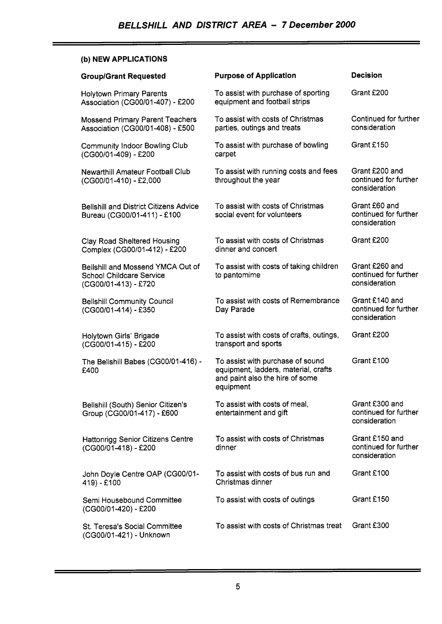## **(b) NEW APPLICATIONS**

| <b>Group/Grant Requested</b>                                                                 | <b>Purpose of Application</b>                                                                                            | <b>Decision</b>                                          |
|----------------------------------------------------------------------------------------------|--------------------------------------------------------------------------------------------------------------------------|----------------------------------------------------------|
| <b>Holytown Primary Parents</b><br>Association (CG00/01-407) - £200                          | To assist with purchase of sporting<br>equipment and football strips                                                     | Grant £200                                               |
| <b>Mossend Primary Parent Teachers</b><br>Association (CG00/01-408) - £500                   | To assist with costs of Christmas<br>parties, outings and treats                                                         | Continued for further<br>consideration                   |
| <b>Community Indoor Bowling Club</b><br>(CG00/01-409) - £200                                 | To assist with purchase of bowling<br>carpet                                                                             | Grant £150                                               |
| <b>Newarthill Amateur Football Club</b><br>(CG00/01-410) - £2,000                            | To assist with running costs and fees<br>throughout the year                                                             | Grant £200 and<br>continued for further<br>consideration |
| <b>Bellshill and District Citizens Advice</b><br>Bureau (CG00/01-411) - £100                 | To assist with costs of Christmas<br>social event for volunteers                                                         | Grant £60 and<br>continued for further<br>consideration  |
| <b>Clay Road Sheltered Housing</b><br>Complex (CG00/01-412) - £200                           | To assist with costs of Christmas<br>dinner and concert                                                                  | Grant £200                                               |
| Bellshill and Mossend YMCA Out of<br><b>School Childcare Service</b><br>(CG00/01-413) - £720 | To assist with costs of taking children<br>to pantomime                                                                  | Grant £260 and<br>continued for further<br>consideration |
| <b>Bellshill Community Council</b><br>(CG00/01-414) - £350                                   | To assist with costs of Remembrance<br>Day Parade                                                                        | Grant £140 and<br>continued for further<br>consideration |
| Holytown Girls' Brigade<br>(CG00/01-415) - £200                                              | To assist with costs of crafts, outings,<br>transport and sports                                                         | Grant £200                                               |
| The Bellshill Babes (CG00/01-416) -<br>£400                                                  | To assist with purchase of sound<br>equipment, ladders, material, crafts<br>and paint also the hire of some<br>equipment | Grant £100                                               |
| Bellshill (South) Senior Citizen's<br>Group (CG00/01-417) - £600                             | To assist with costs of meal,<br>entertainment and gift                                                                  | Grant £300 and<br>continued for further<br>consideration |
| Hattonrigg Senior Citizens Centre<br>(CG00/01-418) - £200                                    | To assist with costs of Christmas<br>dinner                                                                              | Grant £150 and<br>continued for further<br>consideration |
| John Doyle Centre OAP (CG00/01-<br>419) - £100                                               | To assist with costs of bus run and<br>Christmas dinner                                                                  | Grant £100                                               |
| Semi Housebound Committee<br>(CG00/01-420) - £200                                            | To assist with costs of outings                                                                                          | Grant £150                                               |
| St. Teresa's Social Committee<br>(CG00/01-421) - Unknown                                     | To assist with costs of Christmas treat                                                                                  | Grant £300                                               |

<u> 1989 - Jan Sterling Sterling av den større og det blev til større og det blev til større og det blev til stø</u>

≍